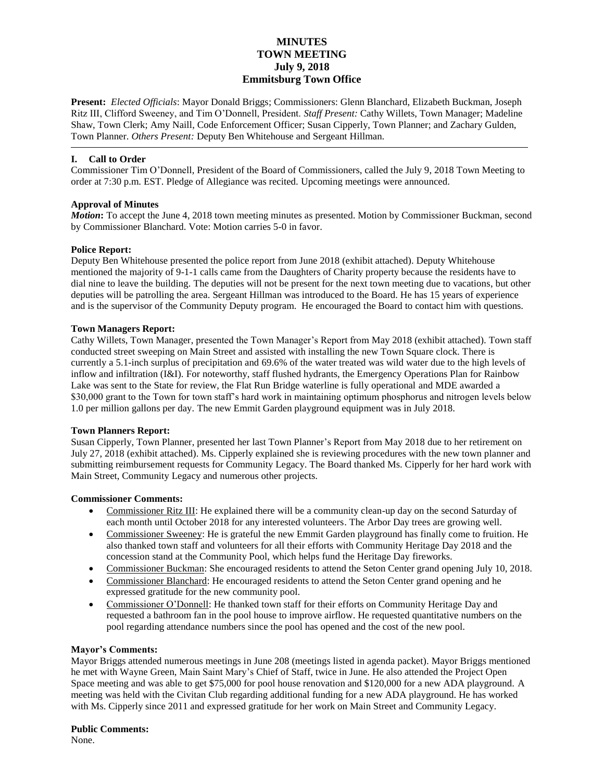# **MINUTES TOWN MEETING July 9, 2018 Emmitsburg Town Office**

**Present:** *Elected Officials*: Mayor Donald Briggs; Commissioners: Glenn Blanchard, Elizabeth Buckman, Joseph Ritz III, Clifford Sweeney, and Tim O'Donnell, President. *Staff Present:* Cathy Willets, Town Manager; Madeline Shaw, Town Clerk; Amy Naill, Code Enforcement Officer; Susan Cipperly, Town Planner; and Zachary Gulden, Town Planner. *Others Present:* Deputy Ben Whitehouse and Sergeant Hillman.

## **I. Call to Order**

Commissioner Tim O'Donnell, President of the Board of Commissioners, called the July 9, 2018 Town Meeting to order at 7:30 p.m. EST. Pledge of Allegiance was recited. Upcoming meetings were announced.

## **Approval of Minutes**

*Motion*: To accept the June 4, 2018 town meeting minutes as presented. Motion by Commissioner Buckman, second by Commissioner Blanchard. Vote: Motion carries 5-0 in favor.

## **Police Report:**

Deputy Ben Whitehouse presented the police report from June 2018 (exhibit attached). Deputy Whitehouse mentioned the majority of 9-1-1 calls came from the Daughters of Charity property because the residents have to dial nine to leave the building. The deputies will not be present for the next town meeting due to vacations, but other deputies will be patrolling the area. Sergeant Hillman was introduced to the Board. He has 15 years of experience and is the supervisor of the Community Deputy program. He encouraged the Board to contact him with questions.

## **Town Managers Report:**

Cathy Willets, Town Manager, presented the Town Manager's Report from May 2018 (exhibit attached). Town staff conducted street sweeping on Main Street and assisted with installing the new Town Square clock. There is currently a 5.1-inch surplus of precipitation and 69.6% of the water treated was wild water due to the high levels of inflow and infiltration (I&I). For noteworthy, staff flushed hydrants, the Emergency Operations Plan for Rainbow Lake was sent to the State for review, the Flat Run Bridge waterline is fully operational and MDE awarded a \$30,000 grant to the Town for town staff's hard work in maintaining optimum phosphorus and nitrogen levels below 1.0 per million gallons per day. The new Emmit Garden playground equipment was in July 2018.

#### **Town Planners Report:**

Susan Cipperly, Town Planner, presented her last Town Planner's Report from May 2018 due to her retirement on July 27, 2018 (exhibit attached). Ms. Cipperly explained she is reviewing procedures with the new town planner and submitting reimbursement requests for Community Legacy. The Board thanked Ms. Cipperly for her hard work with Main Street, Community Legacy and numerous other projects.

#### **Commissioner Comments:**

- Commissioner Ritz III: He explained there will be a community clean-up day on the second Saturday of each month until October 2018 for any interested volunteers. The Arbor Day trees are growing well.
- Commissioner Sweeney: He is grateful the new Emmit Garden playground has finally come to fruition. He also thanked town staff and volunteers for all their efforts with Community Heritage Day 2018 and the concession stand at the Community Pool, which helps fund the Heritage Day fireworks.
- Commissioner Buckman: She encouraged residents to attend the Seton Center grand opening July 10, 2018.
- Commissioner Blanchard: He encouraged residents to attend the Seton Center grand opening and he expressed gratitude for the new community pool.
- Commissioner O'Donnell: He thanked town staff for their efforts on Community Heritage Day and requested a bathroom fan in the pool house to improve airflow. He requested quantitative numbers on the pool regarding attendance numbers since the pool has opened and the cost of the new pool.

## **Mayor's Comments:**

Mayor Briggs attended numerous meetings in June 208 (meetings listed in agenda packet). Mayor Briggs mentioned he met with Wayne Green, Main Saint Mary's Chief of Staff, twice in June. He also attended the Project Open Space meeting and was able to get \$75,000 for pool house renovation and \$120,000 for a new ADA playground. A meeting was held with the Civitan Club regarding additional funding for a new ADA playground. He has worked with Ms. Cipperly since 2011 and expressed gratitude for her work on Main Street and Community Legacy.

**Public Comments:**

None.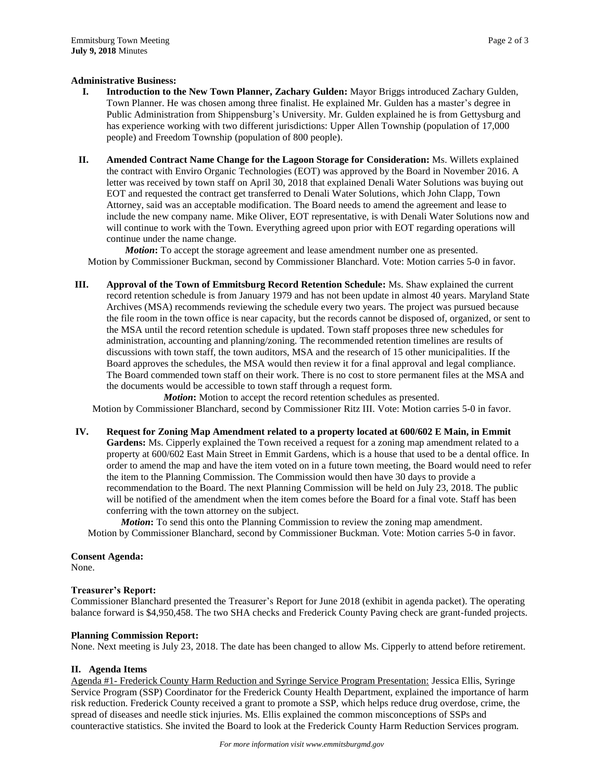#### **Administrative Business:**

- **I. Introduction to the New Town Planner, Zachary Gulden:** Mayor Briggs introduced Zachary Gulden, Town Planner. He was chosen among three finalist. He explained Mr. Gulden has a master's degree in Public Administration from Shippensburg's University. Mr. Gulden explained he is from Gettysburg and has experience working with two different jurisdictions: Upper Allen Township (population of 17,000 people) and Freedom Township (population of 800 people).
- **II. Amended Contract Name Change for the Lagoon Storage for Consideration:** Ms. Willets explained the contract with Enviro Organic Technologies (EOT) was approved by the Board in November 2016. A letter was received by town staff on April 30, 2018 that explained Denali Water Solutions was buying out EOT and requested the contract get transferred to Denali Water Solutions, which John Clapp, Town Attorney, said was an acceptable modification. The Board needs to amend the agreement and lease to include the new company name. Mike Oliver, EOT representative, is with Denali Water Solutions now and will continue to work with the Town. Everything agreed upon prior with EOT regarding operations will continue under the name change.

*Motion***:** To accept the storage agreement and lease amendment number one as presented. Motion by Commissioner Buckman, second by Commissioner Blanchard. Vote: Motion carries 5-0 in favor.

**III. Approval of the Town of Emmitsburg Record Retention Schedule:** Ms. Shaw explained the current record retention schedule is from January 1979 and has not been update in almost 40 years. Maryland State Archives (MSA) recommends reviewing the schedule every two years. The project was pursued because the file room in the town office is near capacity, but the records cannot be disposed of, organized, or sent to the MSA until the record retention schedule is updated. Town staff proposes three new schedules for administration, accounting and planning/zoning. The recommended retention timelines are results of discussions with town staff, the town auditors, MSA and the research of 15 other municipalities. If the Board approves the schedules, the MSA would then review it for a final approval and legal compliance. The Board commended town staff on their work. There is no cost to store permanent files at the MSA and the documents would be accessible to town staff through a request form.

*Motion***:** Motion to accept the record retention schedules as presented. Motion by Commissioner Blanchard, second by Commissioner Ritz III. Vote: Motion carries 5-0 in favor.

**IV. Request for Zoning Map Amendment related to a property located at 600/602 E Main, in Emmit Gardens:** Ms. Cipperly explained the Town received a request for a zoning map amendment related to a property at 600/602 East Main Street in Emmit Gardens, which is a house that used to be a dental office. In order to amend the map and have the item voted on in a future town meeting, the Board would need to refer the item to the Planning Commission. The Commission would then have 30 days to provide a recommendation to the Board. The next Planning Commission will be held on July 23, 2018. The public will be notified of the amendment when the item comes before the Board for a final vote. Staff has been conferring with the town attorney on the subject.

*Motion***:** To send this onto the Planning Commission to review the zoning map amendment. Motion by Commissioner Blanchard, second by Commissioner Buckman. Vote: Motion carries 5-0 in favor.

**Consent Agenda:**

None.

#### **Treasurer's Report:**

Commissioner Blanchard presented the Treasurer's Report for June 2018 (exhibit in agenda packet). The operating balance forward is \$4,950,458. The two SHA checks and Frederick County Paving check are grant-funded projects.

#### **Planning Commission Report:**

None. Next meeting is July 23, 2018. The date has been changed to allow Ms. Cipperly to attend before retirement.

#### **II. Agenda Items**

Agenda #1- Frederick County Harm Reduction and Syringe Service Program Presentation: Jessica Ellis, Syringe Service Program (SSP) Coordinator for the Frederick County Health Department, explained the importance of harm risk reduction. Frederick County received a grant to promote a SSP, which helps reduce drug overdose, crime, the spread of diseases and needle stick injuries. Ms. Ellis explained the common misconceptions of SSPs and counteractive statistics. She invited the Board to look at the Frederick County Harm Reduction Services program.